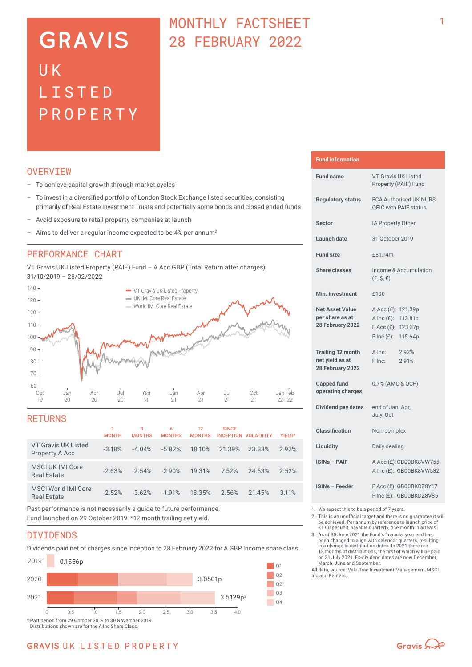# **GRAVIS** UK LISTED PROPERTY

## MONTHLY FACTSHEET 28 FEBRUARY 2022

## **OVERVTEW**

- $-$  To achieve capital growth through market cycles<sup>1</sup>
- To invest in a diversified portfolio of London Stock Exchange listed securities, consisting primarily of Real Estate Investment Trusts and potentially some bonds and closed ended funds
- Avoid exposure to retail property companies at launch
- Aims to deliver a regular income expected to be 4% per annum<sup>2</sup>

## PERFORMANCE CHART

VT Gravis UK Listed Property (PAIF) Fund – A Acc GBP (Total Return after charges) 31/10/2019 – 28/02/2022



## RETURNS

|                                                  | <b>MONTH</b> | 3<br><b>MONTHS</b> | 6<br><b>MONTHS</b> | 12<br><b>MONTHS</b> | <b>SINCE</b> | INCEPTION VOLATILITY | YIELD* |
|--------------------------------------------------|--------------|--------------------|--------------------|---------------------|--------------|----------------------|--------|
| VT Gravis UK Listed<br>Property A Acc            | $-3.18%$     | $-4.04%$           | $-5.82%$           | 18.10%              | 21.39%       | 23.33%               | 2.92%  |
| MSCI UK IMI Core<br><b>Real Estate</b>           | $-2.63%$     | $-2.54%$           | $-2.90%$           | 19.31%              | 7.52%        | 24.53%               | 2.52%  |
| <b>MSCI World IMI Core</b><br><b>Real Estate</b> | $-2.52%$     | $-3.62%$           | $-1.91%$           | 18.35%              | 2.56%        | 21.45%               | 3.11%  |
|                                                  |              |                    |                    |                     |              |                      |        |

Past performance is not necessarily a guide to future performance. Fund launched on 29 October 2019. \*12 month trailing net yield.

## DIVIDENDS

Dividends paid net of charges since inception to 28 February 2022 for A GBP Income share class.



Distributions shown are for the A Inc Share Class.

### **Fund information**

| <b>Fund name</b>                                                | <b>VT Gravis UK Listed</b><br>Property (PAIF) Fund                                                             |  |  |  |
|-----------------------------------------------------------------|----------------------------------------------------------------------------------------------------------------|--|--|--|
| <b>Regulatory status</b>                                        | <b>FCA Authorised UK NURS</b><br>OEIC with PAIF status                                                         |  |  |  |
| <b>Sector</b>                                                   | IA Property Other                                                                                              |  |  |  |
| Launch date                                                     | 31 October 2019                                                                                                |  |  |  |
| <b>Fund size</b>                                                | £81.14m                                                                                                        |  |  |  |
| <b>Share classes</b>                                            | Income & Accumulation<br>$(E, \hat{S}, \epsilon)$                                                              |  |  |  |
| Min. investment                                                 | £100                                                                                                           |  |  |  |
| <b>Net Asset Value</b><br>per share as at<br>28 February 2022   | A Acc (£): 121.39p<br>A Inc $(E)$ :<br>113.81p<br>$F$ Acc $(E)$ :<br>123.37p<br>$F \text{Inc}(f)$ :<br>115.64p |  |  |  |
| <b>Trailing 12 month</b><br>net yield as at<br>28 February 2022 | A Inc:<br>2.92%<br>F Inc:<br>2.91%                                                                             |  |  |  |
| <b>Capped fund</b><br>operating charges                         | 0.7% (AMC & OCF)                                                                                               |  |  |  |
| <b>Dividend pay dates</b>                                       | end of Jan, Apr,<br>July, Oct                                                                                  |  |  |  |
| <b>Classification</b>                                           | Non-complex                                                                                                    |  |  |  |
| Liquidity                                                       | Daily dealing                                                                                                  |  |  |  |
| <b>ISINs - PAIF</b>                                             | A Acc (£): GB00BK8VW755<br>A Inc (£): GB00BK8VW532                                                             |  |  |  |
| <b>ISINs - Feeder</b>                                           | F Acc (£): GB00BKDZ8Y17<br>F Inc (£): GB00BKDZ8V85                                                             |  |  |  |

1. We expect this to be a period of 7 years.

2. This is an unofficial target and there is no guarantee it will be achieved. Per annum by reference to launch price of £1.00 per unit, payable quarterly, one month in arrears.

3. As of 30 June 2021 the Fund's financial year end has been changed to align with calendar quarters, resulting in a change to distribution dates. In 2021 there are 13 months of distributions, the first of which will be paid on 31 July 2021. Ex-dividend dates are now December,

March, June and September. All data, source: Valu-Trac Investment Management, MSCI Inc and Reuters.

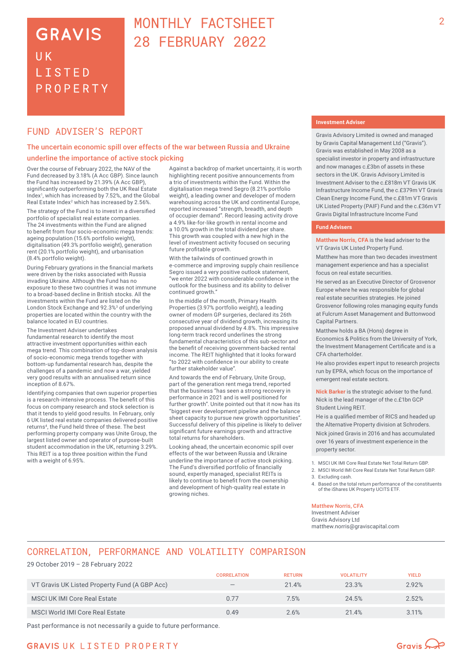## **GRAVIS** UK **LISTED** PROPERTY

## MONTHLY FACTSHEET 28 FEBRUARY 2022

## FUND ADVISER'S REPORT

### The uncertain economic spill over effects of the war between Russia and Ukraine underline the importance of active stock picking

Over the course of February 2022, the NAV of the Fund decreased by 3.18% (A Acc GBP). Since launch the Fund has increased by 21.39% (A Acc GBP), significantly outperforming both the UK Real Estate Index<sup>1</sup>, which has increased by 7.52%, and the Global Real Estate Index<sup>2</sup> which has increased by 2.56%.

The strategy of the Fund is to invest in a diversified portfolio of specialist real estate companies. The 24 investments within the Fund are aligned to benefit from four socio-economic mega trends: ageing population (15.6% portfolio weight), digitalisation (49.3% portfolio weight), generation rent (20.1% portfolio weight), and urbanisation (8.4% portfolio weight).

During February gyrations in the financial markets were driven by the risks associated with Russia invading Ukraine. Although the Fund has no exposure to these two countries it was not immune to a broad-based decline in British stocks. All the investments within the Fund are listed on the London Stock Exchange and 92.3%<sup>3</sup> of underlying properties are located within the country with the balance located in EU countries.

The Investment Adviser undertakes fundamental research to identify the most attractive investment opportunities within each mega trend. This combination of top-down analysis of socio‑economic mega trends together with bottom-up fundamental research has, despite the challenges of a pandemic and now a war, yielded very good results with an annualised return since inception of 8.67%.

Identifying companies that own superior properties is a research-intensive process. The benefit of this focus on company research and stock selection is that it tends to yield good results. In February, only 6 UK listed real estate companies delivered positive returns<sup>4</sup>, the Fund held three of these. The best performing property company was Unite Group, the largest listed owner and operator of purpose-built student accommodation in the UK, returning 3.29%. This REIT is a top three position within the Fund with a weight of 6.95%.

Against a backdrop of market uncertainty, it is worth highlighting recent positive announcements from a trio of investments within the Fund. Within the digitalisation mega trend Segro (8.21% portfolio weight), a leading owner and developer of modern warehousing across the UK and continental Europe, reported increased "strength, breadth, and depth of occupier demand". Record leasing activity drove a 4.9% like-for-like growth in rental income and a 10.0% growth in the total dividend per share. This growth was coupled with a new high in the level of investment activity focused on securing future profitable growth.

With the tailwinds of continued growth in e-commerce and improving supply chain resilience Segro issued a very positive outlook statement, "we enter 2022 with considerable confidence in the outlook for the business and its ability to deliver continued growth."

In the middle of the month, Primary Health Properties (3.97% portfolio weight), a leading owner of modern GP surgeries, declared its 26th consecutive year of dividend growth, increasing its proposed annual dividend by 4.8%. This impressive long-term track record underlines the strong fundamental characteristics of this sub-sector and the benefit of receiving government-backed rental income. The REIT highlighted that it looks forward "to 2022 with confidence in our ability to create further stakeholder value".

And towards the end of February, Unite Group, part of the generation rent mega trend, reported that the business "has seen a strong recovery in performance in 2021 and is well positioned for further growth". Unite pointed out that it now has its "biggest ever development pipeline and the balance sheet capacity to pursue new growth opportunities' Successful delivery of this pipeline is likely to deliver significant future earnings growth and attractive total returns for shareholders.

Looking ahead, the uncertain economic spill over effects of the war between Russia and Ukraine underline the importance of active stock picking. The Fund's diversified portfolio of financially sound, expertly managed, specialist REITs is likely to continue to benefit from the ownership and development of high-quality real estate in growing niches.

#### **Investment Adviser**

Gravis Advisory Limited is owned and managed by Gravis Capital Management Ltd ("Gravis"). Gravis was established in May 2008 as a specialist investor in property and infrastructure and now manages c.£3bn of assets in these sectors in the UK. Gravis Advisory Limited is Investment Adviser to the c.£818m VT Gravis UK Infrastructure Income Fund, the c.£379m VT Gravis Clean Energy Income Fund, the c.£81m VT Gravis UK Listed Property (PAIF) Fund and the c.£36m VT Gravis Digital Infrastructure Income Fund

#### **Fund Advisers**

**Matthew Norris, CFA** is the lead adviser to the VT Gravis UK Listed Property Fund.

Matthew has more than two decades investment management experience and has a specialist focus on real estate securities.

He served as an Executive Director of Grosvenor Europe where he was responsible for global real estate securities strategies. He joined Grosvenor following roles managing equity funds at Fulcrum Asset Management and Buttonwood Capital Partners.

Matthew holds a BA (Hons) degree in Economics & Politics from the University of York, the Investment Management Certificate and is a CFA charterholder.

He also provides expert input to research projects run by EPRA, which focus on the importance of emergent real estate sectors.

**Nick Barker** is the strategic adviser to the fund. Nick is the lead manager of the c.£1bn GCP Student Living REIT.

He is a qualified member of RICS and headed up the Alternative Property division at Schroders. Nick joined Gravis in 2016 and has accumulated over 16 years of investment experience in the property sector.

1. MSCI UK IMI Core Real Estate Net Total Return GBP.

- 2. MSCI World IMI Core Real Estate Net Total Return GBP.
- 3. Excluding cash.
- 4. Based on the total return performance of the constituents of the iShares UK Property UCITS ETF.

### Matthew Norris, CFA

Investment Adviser Gravis Advisory Ltd matthew.norris@graviscapital.com

## CORRELATION, PERFORMANCE AND VOLATILITY COMPARISON

29 October 2019 – 28 February 2022

|                                               | <b>CORRELATION</b>              | <b>RETURN</b> | <b>VOLATILITY</b> | YIELD |
|-----------------------------------------------|---------------------------------|---------------|-------------------|-------|
| VT Gravis UK Listed Property Fund (A GBP Acc) | $\hspace{0.1mm}-\hspace{0.1mm}$ | 21.4%         | 23.3%             | 2.92% |
| <b>MSCI UK IMI Core Real Estate</b>           | 0.77                            | 7.5%          | 24.5%             | 2.52% |
| MSCI World IMI Core Real Estate               | 0.49                            | 2.6%          | 21.4%             | 3.11% |

Past performance is not necessarily a guide to future performance.